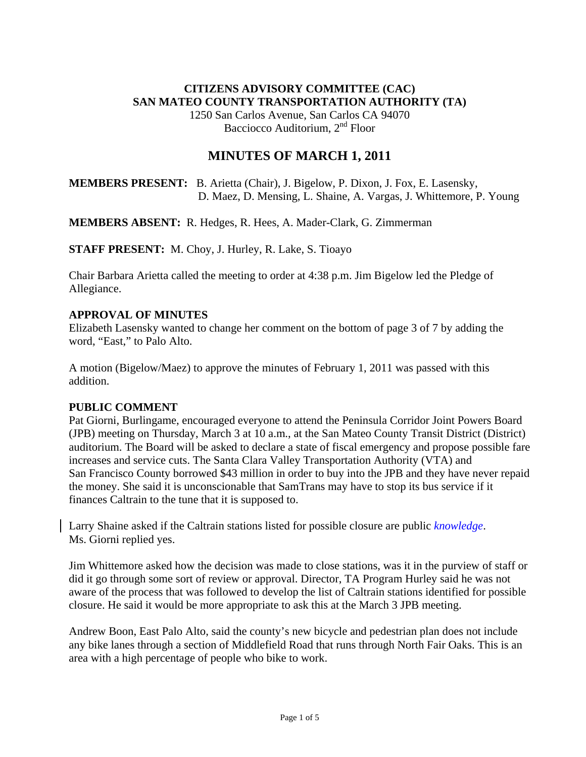## **CITIZENS ADVISORY COMMITTEE (CAC) SAN MATEO COUNTY TRANSPORTATION AUTHORITY (TA)**

1250 San Carlos Avenue, San Carlos CA 94070 Bacciocco Auditorium, 2<sup>nd</sup> Floor

# **MINUTES OF MARCH 1, 2011**

**MEMBERS PRESENT:** B. Arietta (Chair), J. Bigelow, P. Dixon, J. Fox, E. Lasensky, D. Maez, D. Mensing, L. Shaine, A. Vargas, J. Whittemore, P. Young

**MEMBERS ABSENT:** R. Hedges, R. Hees, A. Mader-Clark, G. Zimmerman

**STAFF PRESENT:** M. Choy, J. Hurley, R. Lake, S. Tioayo

Chair Barbara Arietta called the meeting to order at 4:38 p.m. Jim Bigelow led the Pledge of Allegiance.

#### **APPROVAL OF MINUTES**

Elizabeth Lasensky wanted to change her comment on the bottom of page 3 of 7 by adding the word, "East," to Palo Alto.

A motion (Bigelow/Maez) to approve the minutes of February 1, 2011 was passed with this addition.

#### **PUBLIC COMMENT**

Pat Giorni, Burlingame, encouraged everyone to attend the Peninsula Corridor Joint Powers Board (JPB) meeting on Thursday, March 3 at 10 a.m., at the San Mateo County Transit District (District) auditorium. The Board will be asked to declare a state of fiscal emergency and propose possible fare increases and service cuts. The Santa Clara Valley Transportation Authority (VTA) and San Francisco County borrowed \$43 million in order to buy into the JPB and they have never repaid the money. She said it is unconscionable that SamTrans may have to stop its bus service if it finances Caltrain to the tune that it is supposed to.

Larry Shaine asked if the Caltrain stations listed for possible closure are public *knowledge*. Ms. Giorni replied yes.

Jim Whittemore asked how the decision was made to close stations, was it in the purview of staff or did it go through some sort of review or approval. Director, TA Program Hurley said he was not aware of the process that was followed to develop the list of Caltrain stations identified for possible closure. He said it would be more appropriate to ask this at the March 3 JPB meeting.

Andrew Boon, East Palo Alto, said the county's new bicycle and pedestrian plan does not include any bike lanes through a section of Middlefield Road that runs through North Fair Oaks. This is an area with a high percentage of people who bike to work.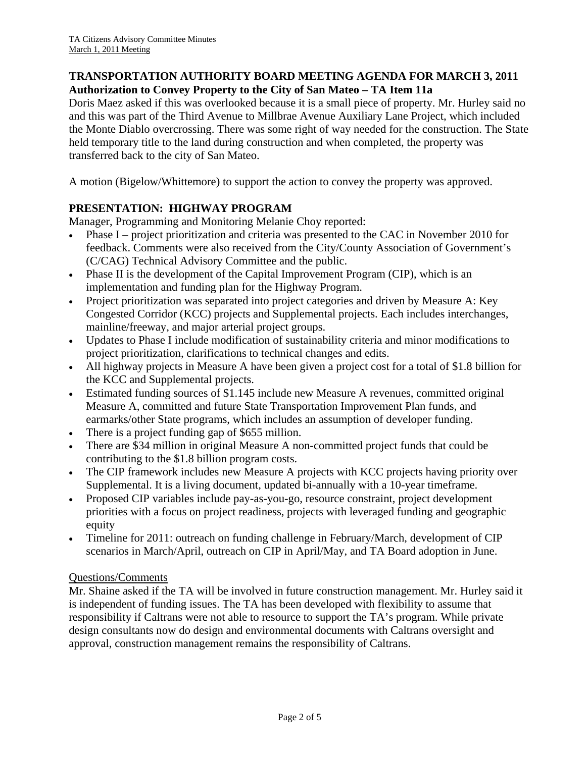## **TRANSPORTATION AUTHORITY BOARD MEETING AGENDA FOR MARCH 3, 2011 Authorization to Convey Property to the City of San Mateo – TA Item 11a**

Doris Maez asked if this was overlooked because it is a small piece of property. Mr. Hurley said no and this was part of the Third Avenue to Millbrae Avenue Auxiliary Lane Project, which included the Monte Diablo overcrossing. There was some right of way needed for the construction. The State held temporary title to the land during construction and when completed, the property was transferred back to the city of San Mateo.

A motion (Bigelow/Whittemore) to support the action to convey the property was approved.

## **PRESENTATION: HIGHWAY PROGRAM**

Manager, Programming and Monitoring Melanie Choy reported:

- Phase I project prioritization and criteria was presented to the CAC in November 2010 for feedback. Comments were also received from the City/County Association of Government's (C/CAG) Technical Advisory Committee and the public.
- Phase II is the development of the Capital Improvement Program (CIP), which is an implementation and funding plan for the Highway Program.
- Project prioritization was separated into project categories and driven by Measure A: Key Congested Corridor (KCC) projects and Supplemental projects. Each includes interchanges, mainline/freeway, and major arterial project groups.
- Updates to Phase I include modification of sustainability criteria and minor modifications to project prioritization, clarifications to technical changes and edits.
- All highway projects in Measure A have been given a project cost for a total of \$1.8 billion for the KCC and Supplemental projects.
- Estimated funding sources of \$1.145 include new Measure A revenues, committed original Measure A, committed and future State Transportation Improvement Plan funds, and earmarks/other State programs, which includes an assumption of developer funding.
- There is a project funding gap of \$655 million.
- There are \$34 million in original Measure A non-committed project funds that could be contributing to the \$1.8 billion program costs.
- The CIP framework includes new Measure A projects with KCC projects having priority over Supplemental. It is a living document, updated bi-annually with a 10-year timeframe.
- Proposed CIP variables include pay-as-you-go, resource constraint, project development priorities with a focus on project readiness, projects with leveraged funding and geographic equity
- Timeline for 2011: outreach on funding challenge in February/March, development of CIP scenarios in March/April, outreach on CIP in April/May, and TA Board adoption in June.

## Questions/Comments

Mr. Shaine asked if the TA will be involved in future construction management. Mr. Hurley said it is independent of funding issues. The TA has been developed with flexibility to assume that responsibility if Caltrans were not able to resource to support the TA's program. While private design consultants now do design and environmental documents with Caltrans oversight and approval, construction management remains the responsibility of Caltrans.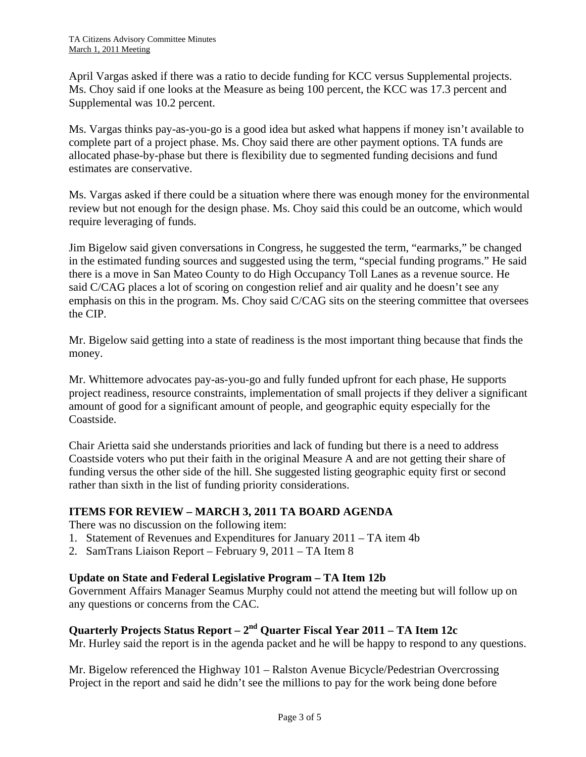April Vargas asked if there was a ratio to decide funding for KCC versus Supplemental projects. Ms. Choy said if one looks at the Measure as being 100 percent, the KCC was 17.3 percent and Supplemental was 10.2 percent.

Ms. Vargas thinks pay-as-you-go is a good idea but asked what happens if money isn't available to complete part of a project phase. Ms. Choy said there are other payment options. TA funds are allocated phase-by-phase but there is flexibility due to segmented funding decisions and fund estimates are conservative.

Ms. Vargas asked if there could be a situation where there was enough money for the environmental review but not enough for the design phase. Ms. Choy said this could be an outcome, which would require leveraging of funds.

Jim Bigelow said given conversations in Congress, he suggested the term, "earmarks," be changed in the estimated funding sources and suggested using the term, "special funding programs." He said there is a move in San Mateo County to do High Occupancy Toll Lanes as a revenue source. He said C/CAG places a lot of scoring on congestion relief and air quality and he doesn't see any emphasis on this in the program. Ms. Choy said C/CAG sits on the steering committee that oversees the CIP.

Mr. Bigelow said getting into a state of readiness is the most important thing because that finds the money.

Mr. Whittemore advocates pay-as-you-go and fully funded upfront for each phase, He supports project readiness, resource constraints, implementation of small projects if they deliver a significant amount of good for a significant amount of people, and geographic equity especially for the Coastside.

Chair Arietta said she understands priorities and lack of funding but there is a need to address Coastside voters who put their faith in the original Measure A and are not getting their share of funding versus the other side of the hill. She suggested listing geographic equity first or second rather than sixth in the list of funding priority considerations.

## **ITEMS FOR REVIEW – MARCH 3, 2011 TA BOARD AGENDA**

There was no discussion on the following item:

- 1. Statement of Revenues and Expenditures for January 2011 TA item 4b
- 2. SamTrans Liaison Report February 9, 2011 TA Item 8

#### **Update on State and Federal Legislative Program – TA Item 12b**

Government Affairs Manager Seamus Murphy could not attend the meeting but will follow up on any questions or concerns from the CAC.

# **Quarterly Projects Status Report – 2nd Quarter Fiscal Year 2011 – TA Item 12c**

Mr. Hurley said the report is in the agenda packet and he will be happy to respond to any questions.

Mr. Bigelow referenced the Highway 101 – Ralston Avenue Bicycle/Pedestrian Overcrossing Project in the report and said he didn't see the millions to pay for the work being done before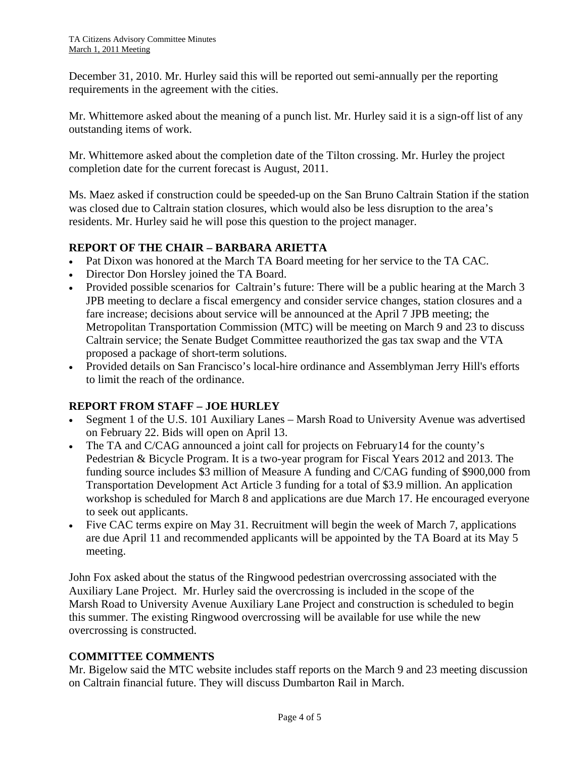December 31, 2010. Mr. Hurley said this will be reported out semi-annually per the reporting requirements in the agreement with the cities.

Mr. Whittemore asked about the meaning of a punch list. Mr. Hurley said it is a sign-off list of any outstanding items of work.

Mr. Whittemore asked about the completion date of the Tilton crossing. Mr. Hurley the project completion date for the current forecast is August, 2011.

Ms. Maez asked if construction could be speeded-up on the San Bruno Caltrain Station if the station was closed due to Caltrain station closures, which would also be less disruption to the area's residents. Mr. Hurley said he will pose this question to the project manager.

## **REPORT OF THE CHAIR – BARBARA ARIETTA**

- Pat Dixon was honored at the March TA Board meeting for her service to the TA CAC.
- Director Don Horsley joined the TA Board.
- Provided possible scenarios for Caltrain's future: There will be a public hearing at the March 3 JPB meeting to declare a fiscal emergency and consider service changes, station closures and a fare increase; decisions about service will be announced at the April 7 JPB meeting; the Metropolitan Transportation Commission (MTC) will be meeting on March 9 and 23 to discuss Caltrain service; the Senate Budget Committee reauthorized the gas tax swap and the VTA proposed a package of short-term solutions.
- Provided details on San Francisco's local-hire ordinance and Assemblyman Jerry Hill's efforts to limit the reach of the ordinance.

## **REPORT FROM STAFF – JOE HURLEY**

- Segment 1 of the U.S. 101 Auxiliary Lanes Marsh Road to University Avenue was advertised on February 22. Bids will open on April 13.
- The TA and C/CAG announced a joint call for projects on February14 for the county's Pedestrian & Bicycle Program. It is a two-year program for Fiscal Years 2012 and 2013. The funding source includes \$3 million of Measure A funding and C/CAG funding of \$900,000 from Transportation Development Act Article 3 funding for a total of \$3.9 million. An application workshop is scheduled for March 8 and applications are due March 17. He encouraged everyone to seek out applicants.
- Five CAC terms expire on May 31. Recruitment will begin the week of March 7, applications are due April 11 and recommended applicants will be appointed by the TA Board at its May 5 meeting.

John Fox asked about the status of the Ringwood pedestrian overcrossing associated with the Auxiliary Lane Project. Mr. Hurley said the overcrossing is included in the scope of the Marsh Road to University Avenue Auxiliary Lane Project and construction is scheduled to begin this summer. The existing Ringwood overcrossing will be available for use while the new overcrossing is constructed.

## **COMMITTEE COMMENTS**

Mr. Bigelow said the MTC website includes staff reports on the March 9 and 23 meeting discussion on Caltrain financial future. They will discuss Dumbarton Rail in March.